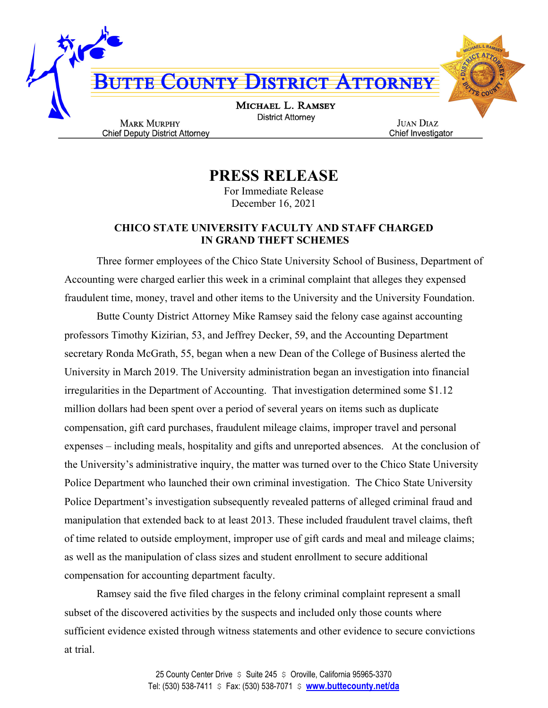

**PRESS RELEASE**

For Immediate Release December 16, 2021

## **CHICO STATE UNIVERSITY FACULTY AND STAFF CHARGED IN GRAND THEFT SCHEMES**

Three former employees of the Chico State University School of Business, Department of Accounting were charged earlier this week in a criminal complaint that alleges they expensed fraudulent time, money, travel and other items to the University and the University Foundation.

Butte County District Attorney Mike Ramsey said the felony case against accounting professors Timothy Kizirian, 53, and Jeffrey Decker, 59, and the Accounting Department secretary Ronda McGrath, 55, began when a new Dean of the College of Business alerted the University in March 2019. The University administration began an investigation into financial irregularities in the Department of Accounting. That investigation determined some \$1.12 million dollars had been spent over a period of several years on items such as duplicate compensation, gift card purchases, fraudulent mileage claims, improper travel and personal expenses – including meals, hospitality and gifts and unreported absences. At the conclusion of the University's administrative inquiry, the matter was turned over to the Chico State University Police Department who launched their own criminal investigation. The Chico State University Police Department's investigation subsequently revealed patterns of alleged criminal fraud and manipulation that extended back to at least 2013. These included fraudulent travel claims, theft of time related to outside employment, improper use of gift cards and meal and mileage claims; as well as the manipulation of class sizes and student enrollment to secure additional compensation for accounting department faculty.

Ramsey said the five filed charges in the felony criminal complaint represent a small subset of the discovered activities by the suspects and included only those counts where sufficient evidence existed through witness statements and other evidence to secure convictions at trial.

> 25 County Center Drive  $\sin 245$   $\sin 245$  Coroville, California 95965-3370 Tel: (530) 538-7411 \$ Fax: (530) 538-7071 \$ **www.buttecounty.net/da**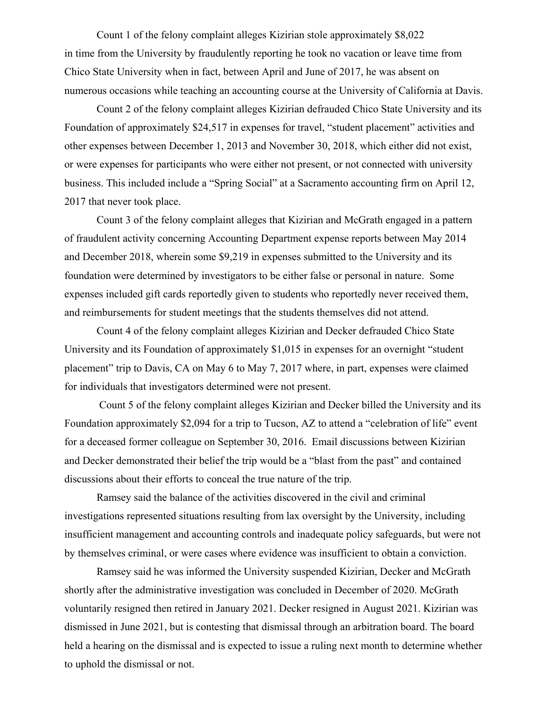Count 1 of the felony complaint alleges Kizirian stole approximately \$8,022 in time from the University by fraudulently reporting he took no vacation or leave time from Chico State University when in fact, between April and June of 2017, he was absent on numerous occasions while teaching an accounting course at the University of California at Davis.

Count 2 of the felony complaint alleges Kizirian defrauded Chico State University and its Foundation of approximately \$24,517 in expenses for travel, "student placement" activities and other expenses between December 1, 2013 and November 30, 2018, which either did not exist, or were expenses for participants who were either not present, or not connected with university business. This included include a "Spring Social" at a Sacramento accounting firm on April 12, 2017 that never took place.

Count 3 of the felony complaint alleges that Kizirian and McGrath engaged in a pattern of fraudulent activity concerning Accounting Department expense reports between May 2014 and December 2018, wherein some \$9,219 in expenses submitted to the University and its foundation were determined by investigators to be either false or personal in nature. Some expenses included gift cards reportedly given to students who reportedly never received them, and reimbursements for student meetings that the students themselves did not attend.

Count 4 of the felony complaint alleges Kizirian and Decker defrauded Chico State University and its Foundation of approximately \$1,015 in expenses for an overnight "student placement" trip to Davis, CA on May 6 to May 7, 2017 where, in part, expenses were claimed for individuals that investigators determined were not present.

Count 5 of the felony complaint alleges Kizirian and Decker billed the University and its Foundation approximately \$2,094 for a trip to Tucson, AZ to attend a "celebration of life" event for a deceased former colleague on September 30, 2016. Email discussions between Kizirian and Decker demonstrated their belief the trip would be a "blast from the past" and contained discussions about their efforts to conceal the true nature of the trip.

Ramsey said the balance of the activities discovered in the civil and criminal investigations represented situations resulting from lax oversight by the University, including insufficient management and accounting controls and inadequate policy safeguards, but were not by themselves criminal, or were cases where evidence was insufficient to obtain a conviction.

Ramsey said he was informed the University suspended Kizirian, Decker and McGrath shortly after the administrative investigation was concluded in December of 2020. McGrath voluntarily resigned then retired in January 2021. Decker resigned in August 2021. Kizirian was dismissed in June 2021, but is contesting that dismissal through an arbitration board. The board held a hearing on the dismissal and is expected to issue a ruling next month to determine whether to uphold the dismissal or not.